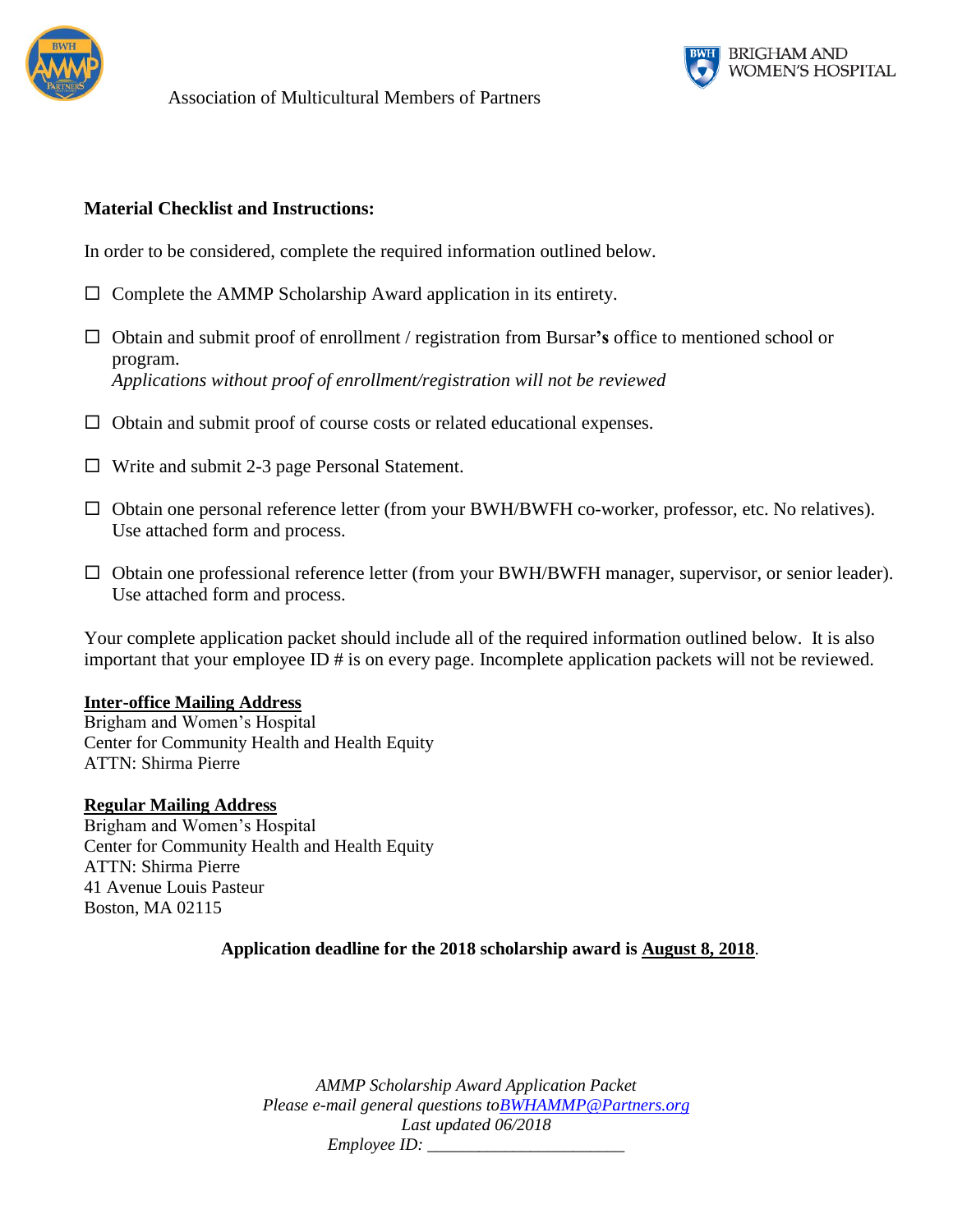



## **Material Checklist and Instructions:**

In order to be considered, complete the required information outlined below.

- $\Box$  Complete the AMMP Scholarship Award application in its entirety.
- Obtain and submit proof of enrollment / registration from Bursar**'s** office to mentioned school or program. *Applications without proof of enrollment/registration will not be reviewed*
- $\Box$  Obtain and submit proof of course costs or related educational expenses.
- $\Box$  Write and submit 2-3 page Personal Statement.
- □ Obtain one personal reference letter (from your BWH/BWFH co-worker, professor, etc. No relatives). Use attached form and process.
- $\Box$  Obtain one professional reference letter (from your BWH/BWFH manager, supervisor, or senior leader). Use attached form and process.

Your complete application packet should include all of the required information outlined below. It is also important that your employee ID # is on every page. Incomplete application packets will not be reviewed.

#### **Inter-office Mailing Address**

Brigham and Women's Hospital Center for Community Health and Health Equity ATTN: Shirma Pierre

#### **Regular Mailing Address**

Brigham and Women's Hospital Center for Community Health and Health Equity ATTN: Shirma Pierre 41 Avenue Louis Pasteur Boston, MA 02115

### **Application deadline for the 2018 scholarship award is August 8, 2018**.

*AMMP Scholarship Award Application Packet Please e-mail general questions t[oBWHAMMP@Partners.org](mailto:BWHAMMP@Partners.org) Last updated 06/2018 Employee ID:*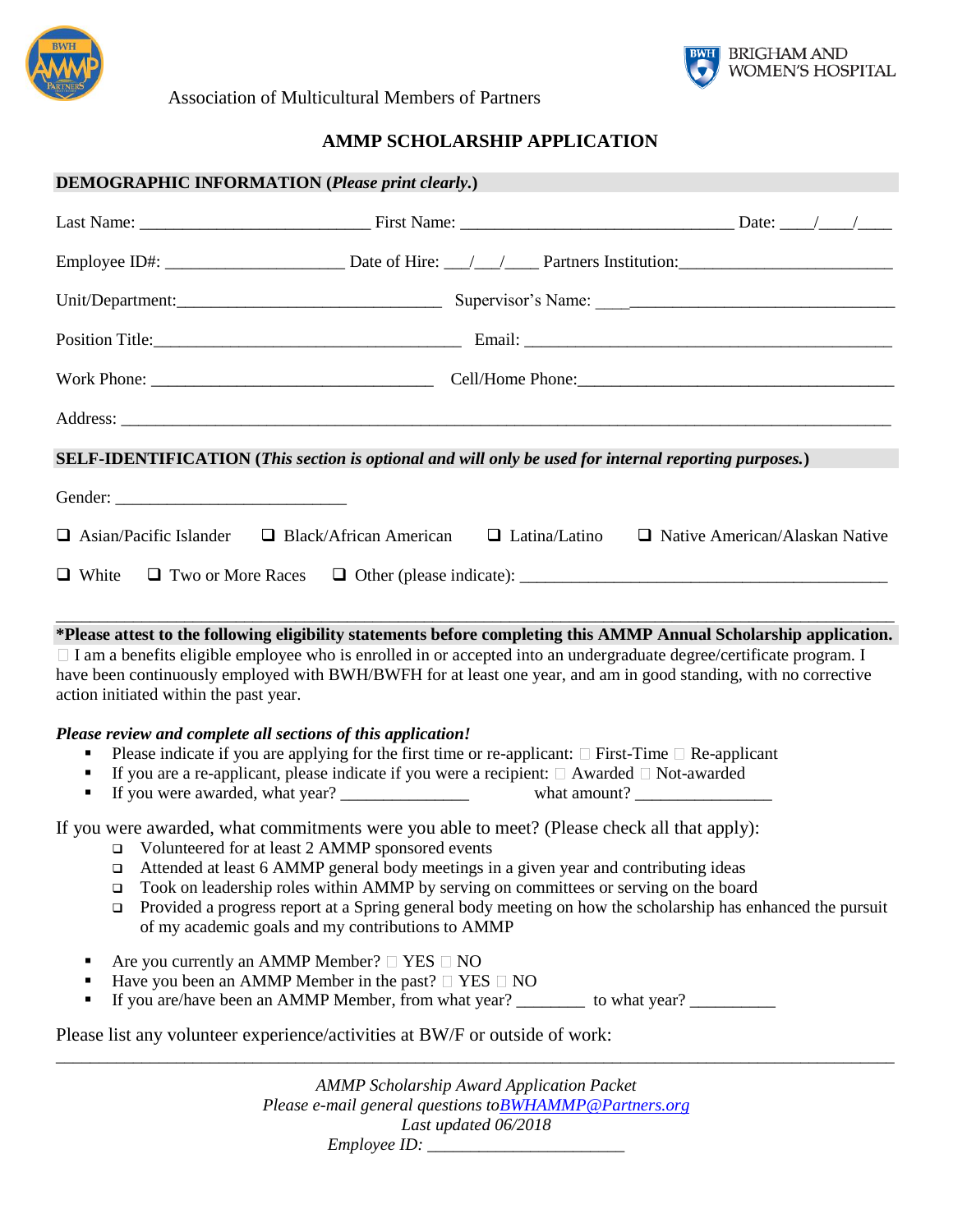

BRIGHAM AND<br>WOMEN'S HOSPITAL

Association of Multicultural Members of Partners

# **AMMP SCHOLARSHIP APPLICATION**

|                  | <b>DEMOGRAPHIC INFORMATION (Please print clearly.)</b>                                                                                                                                                                                                                                                                                                                                                                                                                                                                                                                                                                                                                                                               |                                                  |                      |                                       |  |
|------------------|----------------------------------------------------------------------------------------------------------------------------------------------------------------------------------------------------------------------------------------------------------------------------------------------------------------------------------------------------------------------------------------------------------------------------------------------------------------------------------------------------------------------------------------------------------------------------------------------------------------------------------------------------------------------------------------------------------------------|--------------------------------------------------|----------------------|---------------------------------------|--|
|                  |                                                                                                                                                                                                                                                                                                                                                                                                                                                                                                                                                                                                                                                                                                                      |                                                  |                      |                                       |  |
|                  |                                                                                                                                                                                                                                                                                                                                                                                                                                                                                                                                                                                                                                                                                                                      |                                                  |                      |                                       |  |
|                  |                                                                                                                                                                                                                                                                                                                                                                                                                                                                                                                                                                                                                                                                                                                      |                                                  |                      |                                       |  |
|                  |                                                                                                                                                                                                                                                                                                                                                                                                                                                                                                                                                                                                                                                                                                                      |                                                  |                      |                                       |  |
|                  |                                                                                                                                                                                                                                                                                                                                                                                                                                                                                                                                                                                                                                                                                                                      |                                                  |                      |                                       |  |
|                  |                                                                                                                                                                                                                                                                                                                                                                                                                                                                                                                                                                                                                                                                                                                      |                                                  |                      |                                       |  |
|                  | SELF-IDENTIFICATION (This section is optional and will only be used for internal reporting purposes.)                                                                                                                                                                                                                                                                                                                                                                                                                                                                                                                                                                                                                |                                                  |                      |                                       |  |
| $\Box$ White     | $\Box$ Asian/Pacific Islander<br>$\Box$ Two or More Races                                                                                                                                                                                                                                                                                                                                                                                                                                                                                                                                                                                                                                                            | $\Box$ Black/African American                    | $\Box$ Latina/Latino | $\Box$ Native American/Alaskan Native |  |
|                  | □ I am a benefits eligible employee who is enrolled in or accepted into an undergraduate degree/certificate program. I<br>have been continuously employed with BWH/BWFH for at least one year, and am in good standing, with no corrective<br>action initiated within the past year.<br>Please review and complete all sections of this application!<br>Please indicate if you are applying for the first time or re-applicant: $\Box$ First-Time $\Box$ Re-applicant<br>If you are a re-applicant, please indicate if you were a recipient: $\Box$ Awarded $\Box$ Not-awarded                                                                                                                                       |                                                  |                      |                                       |  |
| ٠<br>❏<br>❏<br>٠ | If you were awarded, what commitments were you able to meet? (Please check all that apply):<br>□ Volunteered for at least 2 AMMP sponsored events<br>□ Attended at least 6 AMMP general body meetings in a given year and contributing ideas<br>Took on leadership roles within AMMP by serving on committees or serving on the board<br>Provided a progress report at a Spring general body meeting on how the scholarship has enhanced the pursuit<br>of my academic goals and my contributions to AMMP<br>Are you currently an AMMP Member? $\Box$ YES $\Box$ NO<br>Have you been an AMMP Member in the past? $\Box$ YES $\Box$ NO<br>Please list any volunteer experience/activities at BW/F or outside of work: |                                                  |                      |                                       |  |
|                  |                                                                                                                                                                                                                                                                                                                                                                                                                                                                                                                                                                                                                                                                                                                      | <b>AMMP</b> Scholarship Award Application Packet |                      |                                       |  |
|                  |                                                                                                                                                                                                                                                                                                                                                                                                                                                                                                                                                                                                                                                                                                                      |                                                  |                      |                                       |  |

*Please e-mail general questions t[oBWHAMMP@Partners.org](mailto:BWHAMMP@Partners.org) Last updated 06/2018 Employee ID: \_\_\_\_\_\_\_\_\_\_\_\_\_\_\_\_\_\_\_\_\_\_\_*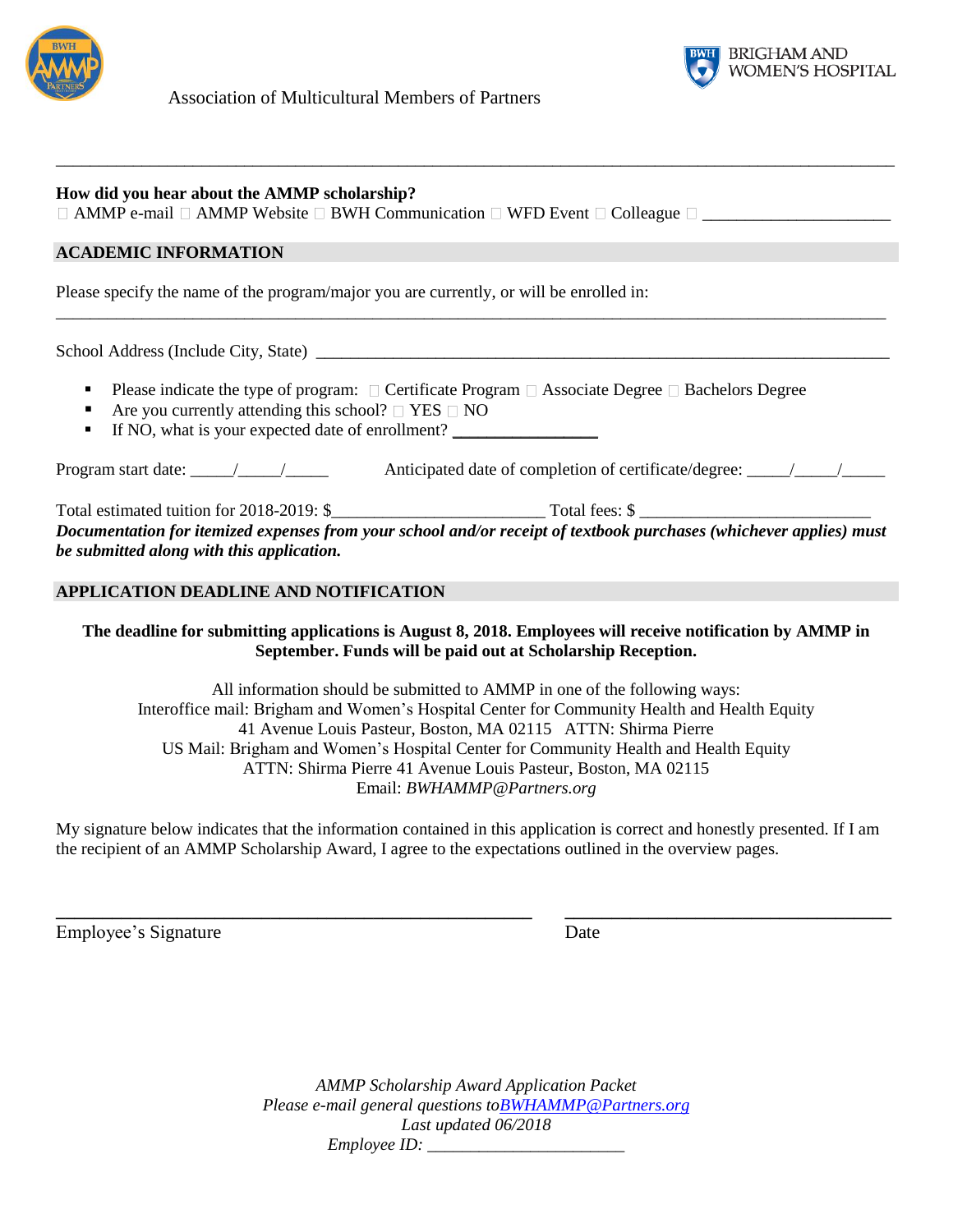



| How did you hear about the AMMP scholarship?<br>□ AMMP e-mail □ AMMP Website □ BWH Communication □ WFD Event □ Colleague □ ________________________                                                                                                              |
|------------------------------------------------------------------------------------------------------------------------------------------------------------------------------------------------------------------------------------------------------------------|
| <b>ACADEMIC INFORMATION</b>                                                                                                                                                                                                                                      |
| Please specify the name of the program/major you are currently, or will be enrolled in:                                                                                                                                                                          |
|                                                                                                                                                                                                                                                                  |
| Please indicate the type of program: $\Box$ Certificate Program $\Box$ Associate Degree $\Box$ Bachelors Degree<br>٠<br>Are you currently attending this school? $\Box$ YES $\Box$ NO<br>٠<br>If NO, what is your expected date of enrollment?<br>$\blacksquare$ |
|                                                                                                                                                                                                                                                                  |
| Documentation for itemized expenses from your school and/or receipt of textbook purchases (whichever applies) must<br>be submitted along with this application.                                                                                                  |
| <b>APPLICATION DEADLINE AND NOTIFICATION</b>                                                                                                                                                                                                                     |

# **The deadline for submitting applications is August 8, 2018. Employees will receive notification by AMMP in September. Funds will be paid out at Scholarship Reception.**

All information should be submitted to AMMP in one of the following ways: Interoffice mail: Brigham and Women's Hospital Center for Community Health and Health Equity 41 Avenue Louis Pasteur, Boston, MA 02115 ATTN: Shirma Pierre US Mail: Brigham and Women's Hospital Center for Community Health and Health Equity ATTN: Shirma Pierre 41 Avenue Louis Pasteur, Boston, MA 02115 Email: *BWHAMMP@Partners.org*

My signature below indicates that the information contained in this application is correct and honestly presented. If I am the recipient of an AMMP Scholarship Award, I agree to the expectations outlined in the overview pages.

**\_\_\_\_\_\_\_\_\_\_\_\_\_\_\_\_\_\_\_\_\_\_\_\_\_\_\_\_\_\_\_\_\_\_\_\_\_\_\_\_\_\_\_\_\_\_\_\_\_\_\_ \_\_\_\_\_\_\_\_\_\_\_\_\_\_\_\_\_\_\_\_\_\_\_\_\_\_\_\_\_\_\_\_\_\_\_**

Employee's Signature Date

*AMMP Scholarship Award Application Packet Please e-mail general questions t[oBWHAMMP@Partners.org](mailto:BWHAMMP@Partners.org) Last updated 06/2018 Employee ID: \_\_\_\_\_\_\_\_\_\_\_\_\_\_\_\_\_\_\_\_\_\_\_*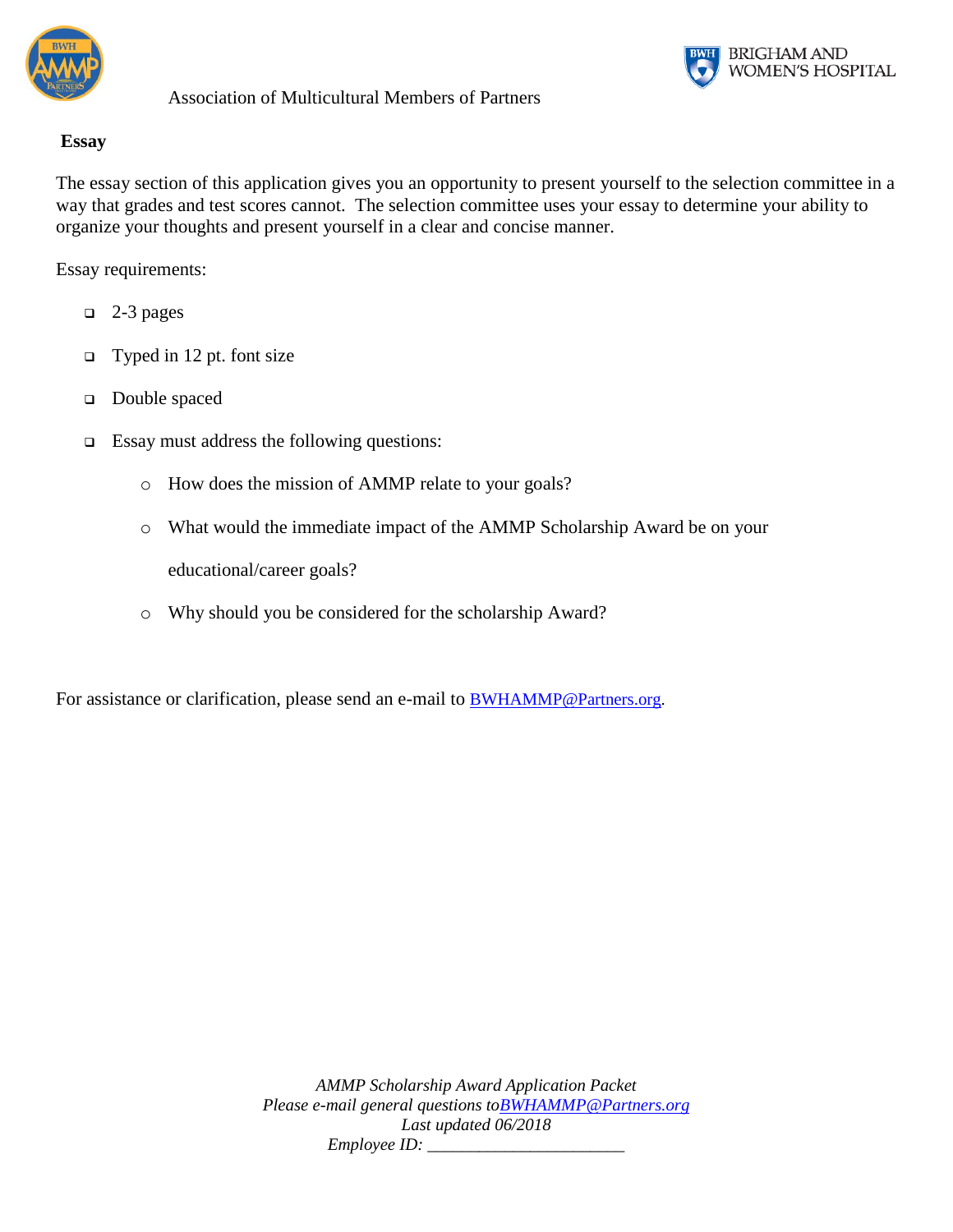



# **Essay**

The essay section of this application gives you an opportunity to present yourself to the selection committee in a way that grades and test scores cannot. The selection committee uses your essay to determine your ability to organize your thoughts and present yourself in a clear and concise manner.

Essay requirements:

- $\Box$  2-3 pages
- $\Box$  Typed in 12 pt. font size
- Double spaced
- $\Box$  Essay must address the following questions:
	- o How does the mission of AMMP relate to your goals?
	- o What would the immediate impact of the AMMP Scholarship Award be on your

educational/career goals?

o Why should you be considered for the scholarship Award?

For assistance or clarification, please send an e-mail to **[BWHAMMP@Partners.org.](mailto:BWHAMMP@Partners.org)** 

*AMMP Scholarship Award Application Packet Please e-mail general questions t[oBWHAMMP@Partners.org](mailto:BWHAMMP@Partners.org) Last updated 06/2018 Employee ID: \_\_\_\_\_\_\_\_\_\_\_\_\_\_\_\_\_\_\_\_\_\_\_*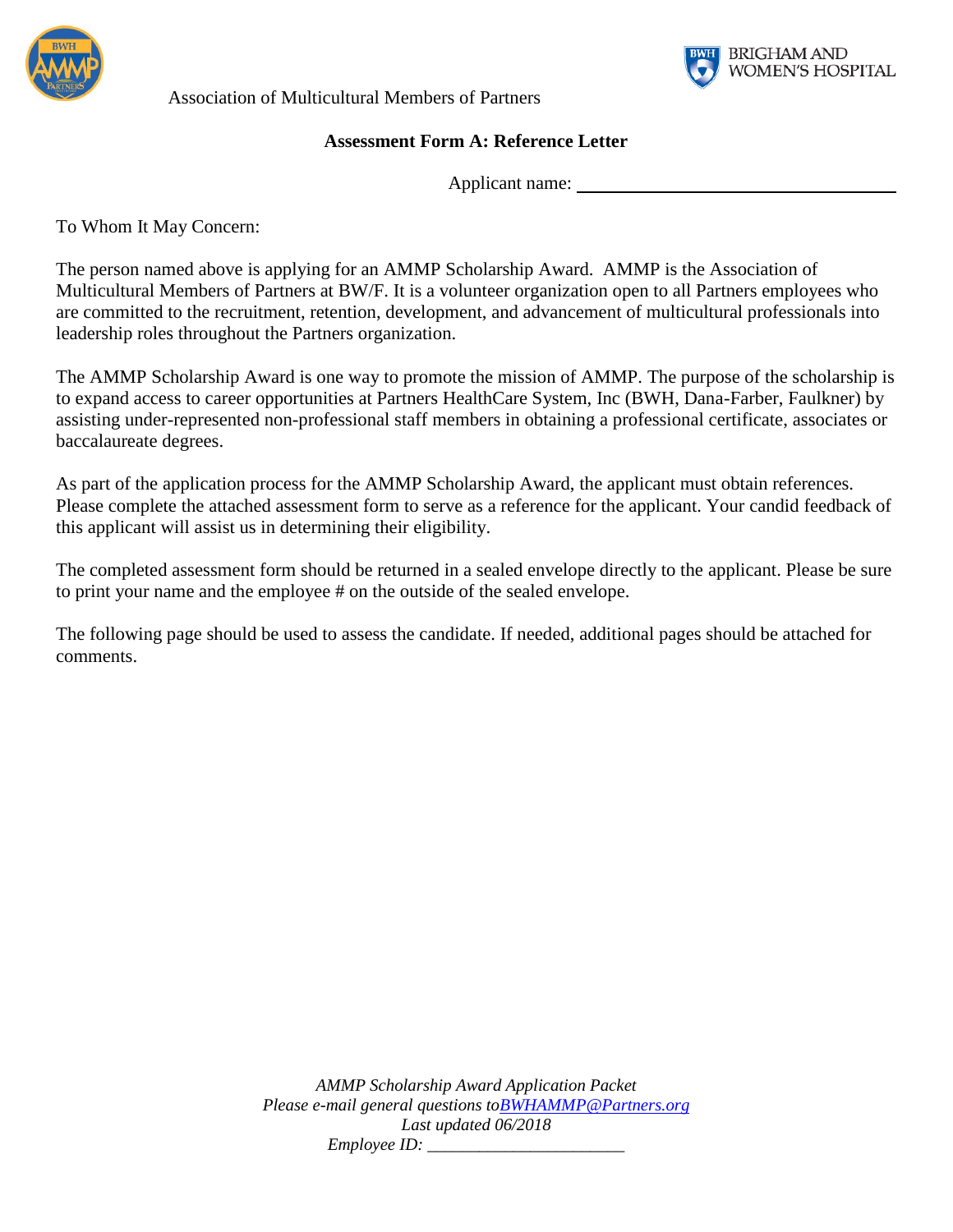

**BRIGHAM AND** WOMEN'S HOSPITAL

Association of Multicultural Members of Partners

# **Assessment Form A: Reference Letter**

Applicant name:

To Whom It May Concern:

The person named above is applying for an AMMP Scholarship Award. AMMP is the Association of Multicultural Members of Partners at BW/F. It is a volunteer organization open to all Partners employees who are committed to the recruitment, retention, development, and advancement of multicultural professionals into leadership roles throughout the Partners organization.

The AMMP Scholarship Award is one way to promote the mission of AMMP. The purpose of the scholarship is to expand access to career opportunities at Partners HealthCare System, Inc (BWH, Dana-Farber, Faulkner) by assisting under-represented non-professional staff members in obtaining a professional certificate, associates or baccalaureate degrees.

As part of the application process for the AMMP Scholarship Award, the applicant must obtain references. Please complete the attached assessment form to serve as a reference for the applicant. Your candid feedback of this applicant will assist us in determining their eligibility.

The completed assessment form should be returned in a sealed envelope directly to the applicant. Please be sure to print your name and the employee # on the outside of the sealed envelope.

The following page should be used to assess the candidate. If needed, additional pages should be attached for comments.

> *AMMP Scholarship Award Application Packet Please e-mail general questions t[oBWHAMMP@Partners.org](mailto:BWHAMMP@Partners.org) Last updated 06/2018 Employee ID:*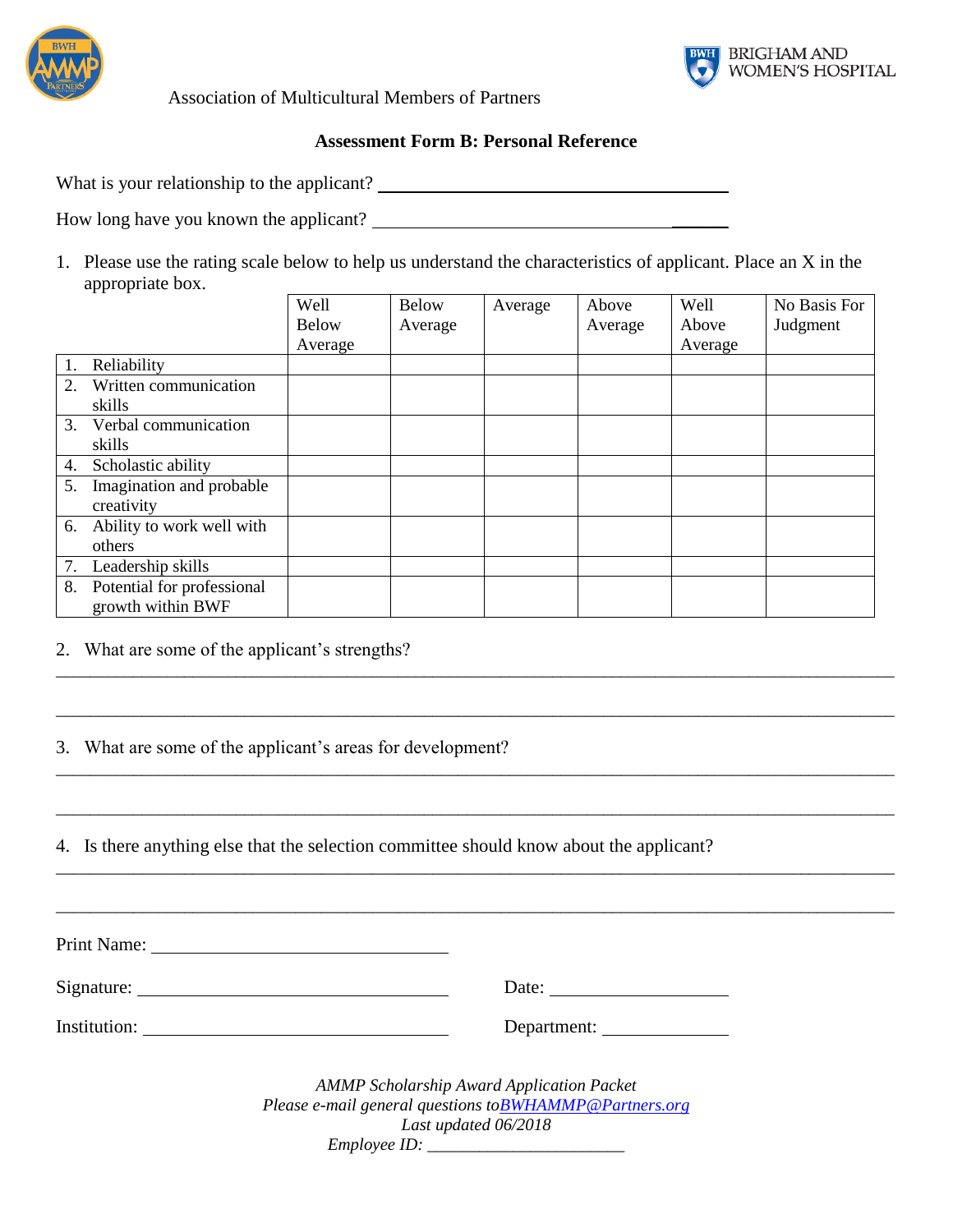



#### **Assessment Form B: Personal Reference**

What is your relationship to the applicant?

How long have you known the applicant?

1. Please use the rating scale below to help us understand the characteristics of applicant. Place an X in the appropriate box.

|    |                            | Well         | <b>Below</b> | Average | Above   | Well    | No Basis For |
|----|----------------------------|--------------|--------------|---------|---------|---------|--------------|
|    |                            | <b>Below</b> | Average      |         | Average | Above   | Judgment     |
|    |                            | Average      |              |         |         | Average |              |
| 1. | Reliability                |              |              |         |         |         |              |
| 2. | Written communication      |              |              |         |         |         |              |
|    | skills                     |              |              |         |         |         |              |
| 3. | Verbal communication       |              |              |         |         |         |              |
|    | skills                     |              |              |         |         |         |              |
| 4. | Scholastic ability         |              |              |         |         |         |              |
| 5. | Imagination and probable   |              |              |         |         |         |              |
|    | creativity                 |              |              |         |         |         |              |
| 6. | Ability to work well with  |              |              |         |         |         |              |
|    | others                     |              |              |         |         |         |              |
| 7. | Leadership skills          |              |              |         |         |         |              |
| 8. | Potential for professional |              |              |         |         |         |              |
|    | growth within BWF          |              |              |         |         |         |              |

\_\_\_\_\_\_\_\_\_\_\_\_\_\_\_\_\_\_\_\_\_\_\_\_\_\_\_\_\_\_\_\_\_\_\_\_\_\_\_\_\_\_\_\_\_\_\_\_\_\_\_\_\_\_\_\_\_\_\_\_\_\_\_\_\_\_\_\_\_\_\_\_\_\_\_\_\_\_\_\_\_\_\_\_\_\_\_\_\_\_\_\_\_\_\_\_\_\_

\_\_\_\_\_\_\_\_\_\_\_\_\_\_\_\_\_\_\_\_\_\_\_\_\_\_\_\_\_\_\_\_\_\_\_\_\_\_\_\_\_\_\_\_\_\_\_\_\_\_\_\_\_\_\_\_\_\_\_\_\_\_\_\_\_\_\_\_\_\_\_\_\_\_\_\_\_\_\_\_\_\_\_\_\_\_\_\_\_\_\_\_\_\_\_\_\_\_

\_\_\_\_\_\_\_\_\_\_\_\_\_\_\_\_\_\_\_\_\_\_\_\_\_\_\_\_\_\_\_\_\_\_\_\_\_\_\_\_\_\_\_\_\_\_\_\_\_\_\_\_\_\_\_\_\_\_\_\_\_\_\_\_\_\_\_\_\_\_\_\_\_\_\_\_\_\_\_\_\_\_\_\_\_\_\_\_\_\_\_\_\_\_\_\_\_\_

\_\_\_\_\_\_\_\_\_\_\_\_\_\_\_\_\_\_\_\_\_\_\_\_\_\_\_\_\_\_\_\_\_\_\_\_\_\_\_\_\_\_\_\_\_\_\_\_\_\_\_\_\_\_\_\_\_\_\_\_\_\_\_\_\_\_\_\_\_\_\_\_\_\_\_\_\_\_\_\_\_\_\_\_\_\_\_\_\_\_\_\_\_\_\_\_\_\_

\_\_\_\_\_\_\_\_\_\_\_\_\_\_\_\_\_\_\_\_\_\_\_\_\_\_\_\_\_\_\_\_\_\_\_\_\_\_\_\_\_\_\_\_\_\_\_\_\_\_\_\_\_\_\_\_\_\_\_\_\_\_\_\_\_\_\_\_\_\_\_\_\_\_\_\_\_\_\_\_\_\_\_\_\_\_\_\_\_\_\_\_\_\_\_\_\_\_

\_\_\_\_\_\_\_\_\_\_\_\_\_\_\_\_\_\_\_\_\_\_\_\_\_\_\_\_\_\_\_\_\_\_\_\_\_\_\_\_\_\_\_\_\_\_\_\_\_\_\_\_\_\_\_\_\_\_\_\_\_\_\_\_\_\_\_\_\_\_\_\_\_\_\_\_\_\_\_\_\_\_\_\_\_\_\_\_\_\_\_\_\_\_\_\_\_\_

2. What are some of the applicant's strengths?

3. What are some of the applicant's areas for development?

4. Is there anything else that the selection committee should know about the applicant?

Print Name:

Signature: Date: Date: Date: Date: Date: Date: Date: Date: Date: Date: Date: Date: Date: Date: Date: Date: Date: Date: Date: Date: Date: Date: Date: Date: Date: Date: Date: Date: Date: Date: Date: Date: Date: Date: Date: D

Institution: Department:

*AMMP Scholarship Award Application Packet Please e-mail general questions t[oBWHAMMP@Partners.org](mailto:BWHAMMP@Partners.org) Last updated 06/2018 Employee ID: \_\_\_\_\_\_\_\_\_\_\_\_\_\_\_\_\_\_\_\_\_\_\_*